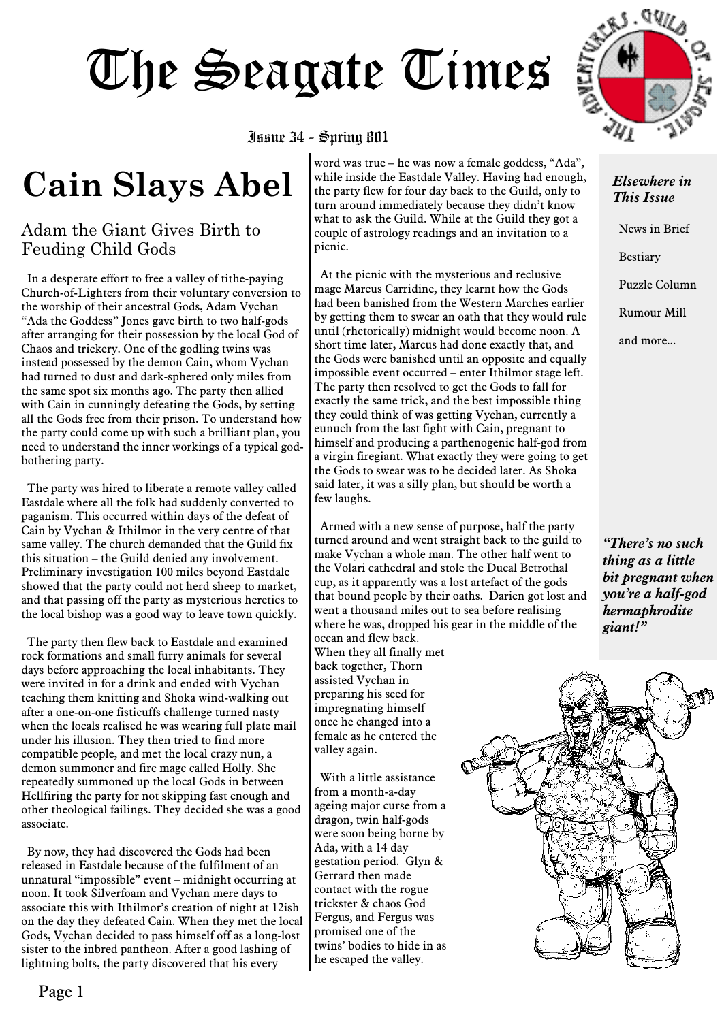#### Issue 34 - Spring 801

### **Cain Slays Abel**

### Adam the Giant Gives Birth to Feuding Child Gods

In a desperate effort to free a valley of tithe-paying Church-of-Lighters from their voluntary conversion to the worship of their ancestral Gods, Adam Vychan "Ada the Goddess" Jones gave birth to two half-gods after arranging for their possession by the local God of Chaos and trickery. One of the godling twins was instead possessed by the demon Cain, whom Vychan had turned to dust and dark-sphered only miles from the same spot six months ago. The party then allied with Cain in cunningly defeating the Gods, by setting all the Gods free from their prison. To understand how the party could come up with such a brilliant plan, you need to understand the inner workings of a typical godbothering party.

The party was hired to liberate a remote valley called Eastdale where all the folk had suddenly converted to paganism. This occurred within days of the defeat of Cain by Vychan & Ithilmor in the very centre of that same valley. The church demanded that the Guild fix this situation – the Guild denied any involvement. Preliminary investigation 100 miles beyond Eastdale showed that the party could not herd sheep to market, and that passing off the party as mysterious heretics to the local bishop was a good way to leave town quickly.

The party then flew back to Eastdale and examined rock formations and small furry animals for several days before approaching the local inhabitants. They were invited in for a drink and ended with Vychan teaching them knitting and Shoka wind-walking out after a one-on-one fisticuffs challenge turned nasty when the locals realised he was wearing full plate mail under his illusion. They then tried to find more compatible people, and met the local crazy nun, a demon summoner and fire mage called Holly. She repeatedly summoned up the local Gods in between Hellfiring the party for not skipping fast enough and other theological failings. They decided she was a good associate.

By now, they had discovered the Gods had been released in Eastdale because of the fulfilment of an unnatural "impossible" event – midnight occurring at noon. It took Silverfoam and Vychan mere days to associate this with Ithilmor's creation of night at 12ish on the day they defeated Cain. When they met the local Gods, Vychan decided to pass himself off as a long-lost sister to the inbred pantheon. After a good lashing of lightning bolts, the party discovered that his every

word was true – he was now a female goddess, "Ada", while inside the Eastdale Valley. Having had enough, the party flew for four day back to the Guild, only to turn around immediately because they didn't know what to ask the Guild. While at the Guild they got a couple of astrology readings and an invitation to a picnic.

At the picnic with the mysterious and reclusive mage Marcus Carridine, they learnt how the Gods had been banished from the Western Marches earlier by getting them to swear an oath that they would rule until (rhetorically) midnight would become noon. A short time later, Marcus had done exactly that, and the Gods were banished until an opposite and equally impossible event occurred – enter Ithilmor stage left. The party then resolved to get the Gods to fall for exactly the same trick, and the best impossible thing they could think of was getting Vychan, currently a eunuch from the last fight with Cain, pregnant to himself and producing a parthenogenic half-god from a virgin firegiant. What exactly they were going to get the Gods to swear was to be decided later. As Shoka said later, it was a silly plan, but should be worth a few laughs.

Armed with a new sense of purpose, half the party turned around and went straight back to the guild to make Vychan a whole man. The other half went to the Volari cathedral and stole the Ducal Betrothal cup, as it apparently was a lost artefact of the gods that bound people by their oaths. Darien got lost and went a thousand miles out to sea before realising where he was, dropped his gear in the middle of the ocean and flew back. When they all finally met back together, Thorn

assisted Vychan in preparing his seed for impregnating himself once he changed into a female as he entered the valley again.

With a little assistance from a month-a-day ageing major curse from a dragon, twin half-gods were soon being borne by Ada, with a 14 day gestation period. Glyn & Gerrard then made contact with the rogue trickster & chaos God Fergus, and Fergus was promised one of the twins' bodies to hide in as he escaped the valley.



#### *Elsewhere in This Issue*

News in Brief **Bestiary** Puzzle Column Rumour Mill and more...

*"There's no such thing as a little bit pregnant when you're a half-god hermaphrodite giant!"*

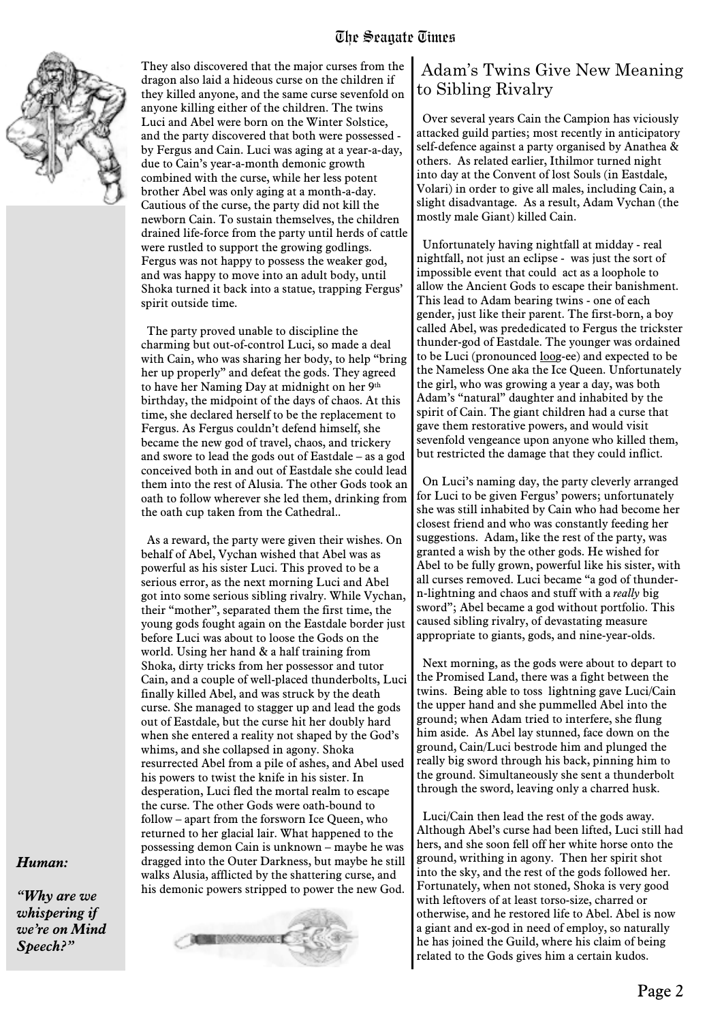

They also discovered that the major curses from the dragon also laid a hideous curse on the children if they killed anyone, and the same curse sevenfold on anyone killing either of the children. The twins Luci and Abel were born on the Winter Solstice, and the party discovered that both were possessed by Fergus and Cain. Luci was aging at a year-a-day, due to Cain's year-a-month demonic growth combined with the curse, while her less potent brother Abel was only aging at a month-a-day. Cautious of the curse, the party did not kill the newborn Cain. To sustain themselves, the children drained life-force from the party until herds of cattle were rustled to support the growing godlings. Fergus was not happy to possess the weaker god, and was happy to move into an adult body, until Shoka turned it back into a statue, trapping Fergus' spirit outside time.

The party proved unable to discipline the charming but out-of-control Luci, so made a deal with Cain, who was sharing her body, to help "bring her up properly" and defeat the gods. They agreed to have her Naming Day at midnight on her 9th birthday, the midpoint of the days of chaos. At this time, she declared herself to be the replacement to Fergus. As Fergus couldn't defend himself, she became the new god of travel, chaos, and trickery and swore to lead the gods out of Eastdale – as a god conceived both in and out of Eastdale she could lead them into the rest of Alusia. The other Gods took an oath to follow wherever she led them, drinking from the oath cup taken from the Cathedral..

As a reward, the party were given their wishes. On behalf of Abel, Vychan wished that Abel was as powerful as his sister Luci. This proved to be a serious error, as the next morning Luci and Abel got into some serious sibling rivalry. While Vychan, their "mother", separated them the first time, the young gods fought again on the Eastdale border just before Luci was about to loose the Gods on the world. Using her hand & a half training from Shoka, dirty tricks from her possessor and tutor Cain, and a couple of well-placed thunderbolts, Luci finally killed Abel, and was struck by the death curse. She managed to stagger up and lead the gods out of Eastdale, but the curse hit her doubly hard when she entered a reality not shaped by the God's whims, and she collapsed in agony. Shoka resurrected Abel from a pile of ashes, and Abel used his powers to twist the knife in his sister. In desperation, Luci fled the mortal realm to escape the curse. The other Gods were oath-bound to follow – apart from the forsworn Ice Queen, who returned to her glacial lair. What happened to the possessing demon Cain is unknown – maybe he was dragged into the Outer Darkness, but maybe he still walks Alusia, afflicted by the shattering curse, and his demonic powers stripped to power the new God.

# **MEDISCONSOLIC E**

### Adam's Twins Give New Meaning to Sibling Rivalry

Over several years Cain the Campion has viciously attacked guild parties; most recently in anticipatory self-defence against a party organised by Anathea & others. As related earlier, Ithilmor turned night into day at the Convent of lost Souls (in Eastdale, Volari) in order to give all males, including Cain, a slight disadvantage. As a result, Adam Vychan (the mostly male Giant) killed Cain.

Unfortunately having nightfall at midday - real nightfall, not just an eclipse - was just the sort of impossible event that could act as a loophole to allow the Ancient Gods to escape their banishment. This lead to Adam bearing twins - one of each gender, just like their parent. The first-born, a boy called Abel, was prededicated to Fergus the trickster thunder-god of Eastdale. The younger was ordained to be Luci (pronounced loog-ee) and expected to be the Nameless One aka the Ice Queen. Unfortunately the girl, who was growing a year a day, was both Adam's "natural" daughter and inhabited by the spirit of Cain. The giant children had a curse that gave them restorative powers, and would visit sevenfold vengeance upon anyone who killed them, but restricted the damage that they could inflict.

On Luci's naming day, the party cleverly arranged for Luci to be given Fergus' powers; unfortunately she was still inhabited by Cain who had become her closest friend and who was constantly feeding her suggestions. Adam, like the rest of the party, was granted a wish by the other gods. He wished for Abel to be fully grown, powerful like his sister, with all curses removed. Luci became "a god of thundern-lightning and chaos and stuff with a *really* big sword"; Abel became a god without portfolio. This caused sibling rivalry, of devastating measure appropriate to giants, gods, and nine-year-olds.

Next morning, as the gods were about to depart to the Promised Land, there was a fight between the twins. Being able to toss lightning gave Luci/Cain the upper hand and she pummelled Abel into the ground; when Adam tried to interfere, she flung him aside. As Abel lay stunned, face down on the ground, Cain/Luci bestrode him and plunged the really big sword through his back, pinning him to the ground. Simultaneously she sent a thunderbolt through the sword, leaving only a charred husk.

Luci/Cain then lead the rest of the gods away. Although Abel's curse had been lifted, Luci still had hers, and she soon fell off her white horse onto the ground, writhing in agony. Then her spirit shot into the sky, and the rest of the gods followed her. Fortunately, when not stoned, Shoka is very good with leftovers of at least torso-size, charred or otherwise, and he restored life to Abel. Abel is now a giant and ex-god in need of employ, so naturally he has joined the Guild, where his claim of being related to the Gods gives him a certain kudos.

#### *Human:*

*"Why are we whispering if we're on Mind Speech?"*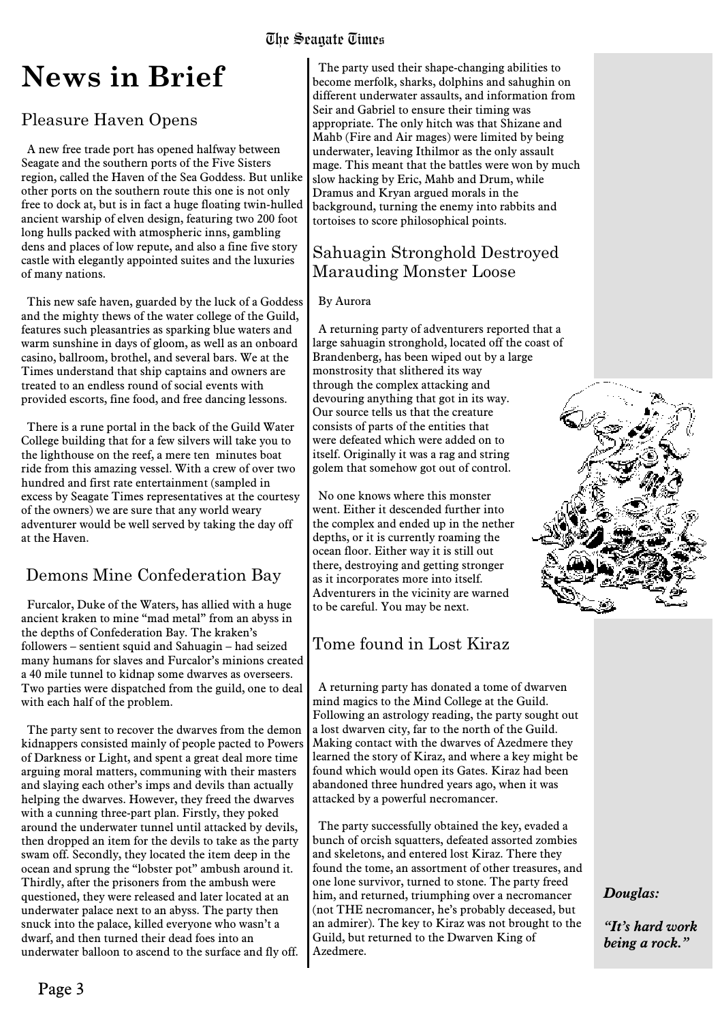### **News in Brief**

### Pleasure Haven Opens

A new free trade port has opened halfway between Seagate and the southern ports of the Five Sisters region, called the Haven of the Sea Goddess. But unlike other ports on the southern route this one is not only free to dock at, but is in fact a huge floating twin-hulled ancient warship of elven design, featuring two 200 foot long hulls packed with atmospheric inns, gambling dens and places of low repute, and also a fine five story castle with elegantly appointed suites and the luxuries of many nations.

This new safe haven, guarded by the luck of a Goddess and the mighty thews of the water college of the Guild, features such pleasantries as sparking blue waters and warm sunshine in days of gloom, as well as an onboard casino, ballroom, brothel, and several bars. We at the Times understand that ship captains and owners are treated to an endless round of social events with provided escorts, fine food, and free dancing lessons.

There is a rune portal in the back of the Guild Water College building that for a few silvers will take you to the lighthouse on the reef, a mere ten minutes boat ride from this amazing vessel. With a crew of over two hundred and first rate entertainment (sampled in excess by Seagate Times representatives at the courtesy of the owners) we are sure that any world weary adventurer would be well served by taking the day off at the Haven.

### Demons Mine Confederation Bay

Furcalor, Duke of the Waters, has allied with a huge ancient kraken to mine "mad metal" from an abyss in the depths of Confederation Bay. The kraken's followers – sentient squid and Sahuagin – had seized many humans for slaves and Furcalor's minions created a 40 mile tunnel to kidnap some dwarves as overseers. Two parties were dispatched from the guild, one to deal with each half of the problem.

The party sent to recover the dwarves from the demon kidnappers consisted mainly of people pacted to Powers of Darkness or Light, and spent a great deal more time arguing moral matters, communing with their masters and slaying each other's imps and devils than actually helping the dwarves. However, they freed the dwarves with a cunning three-part plan. Firstly, they poked around the underwater tunnel until attacked by devils, then dropped an item for the devils to take as the party swam off. Secondly, they located the item deep in the ocean and sprung the "lobster pot" ambush around it. Thirdly, after the prisoners from the ambush were questioned, they were released and later located at an underwater palace next to an abyss. The party then snuck into the palace, killed everyone who wasn't a dwarf, and then turned their dead foes into an underwater balloon to ascend to the surface and fly off.

The party used their shape-changing abilities to become merfolk, sharks, dolphins and sahughin on different underwater assaults, and information from Seir and Gabriel to ensure their timing was appropriate. The only hitch was that Shizane and Mahb (Fire and Air mages) were limited by being underwater, leaving Ithilmor as the only assault mage. This meant that the battles were won by much slow hacking by Eric, Mahb and Drum, while Dramus and Kryan argued morals in the background, turning the enemy into rabbits and tortoises to score philosophical points.

### Sahuagin Stronghold Destroyed Marauding Monster Loose

#### By Aurora

A returning party of adventurers reported that a large sahuagin stronghold, located off the coast of Brandenberg, has been wiped out by a large monstrosity that slithered its way through the complex attacking and devouring anything that got in its way. Our source tells us that the creature consists of parts of the entities that were defeated which were added on to itself. Originally it was a rag and string golem that somehow got out of control.

No one knows where this monster went. Either it descended further into the complex and ended up in the nether depths, or it is currently roaming the ocean floor. Either way it is still out there, destroying and getting stronger as it incorporates more into itself. Adventurers in the vicinity are warned to be careful. You may be next.

### Tome found in Lost Kiraz

A returning party has donated a tome of dwarven mind magics to the Mind College at the Guild. Following an astrology reading, the party sought out a lost dwarven city, far to the north of the Guild. Making contact with the dwarves of Azedmere they learned the story of Kiraz, and where a key might be found which would open its Gates. Kiraz had been abandoned three hundred years ago, when it was attacked by a powerful necromancer.

The party successfully obtained the key, evaded a bunch of orcish squatters, defeated assorted zombies and skeletons, and entered lost Kiraz. There they found the tome, an assortment of other treasures, and one lone survivor, turned to stone. The party freed him, and returned, triumphing over a necromancer (not THE necromancer, he's probably deceased, but an admirer). The key to Kiraz was not brought to the Guild, but returned to the Dwarven King of Azedmere.



#### *Douglas:*

*"It's hard work being a rock."*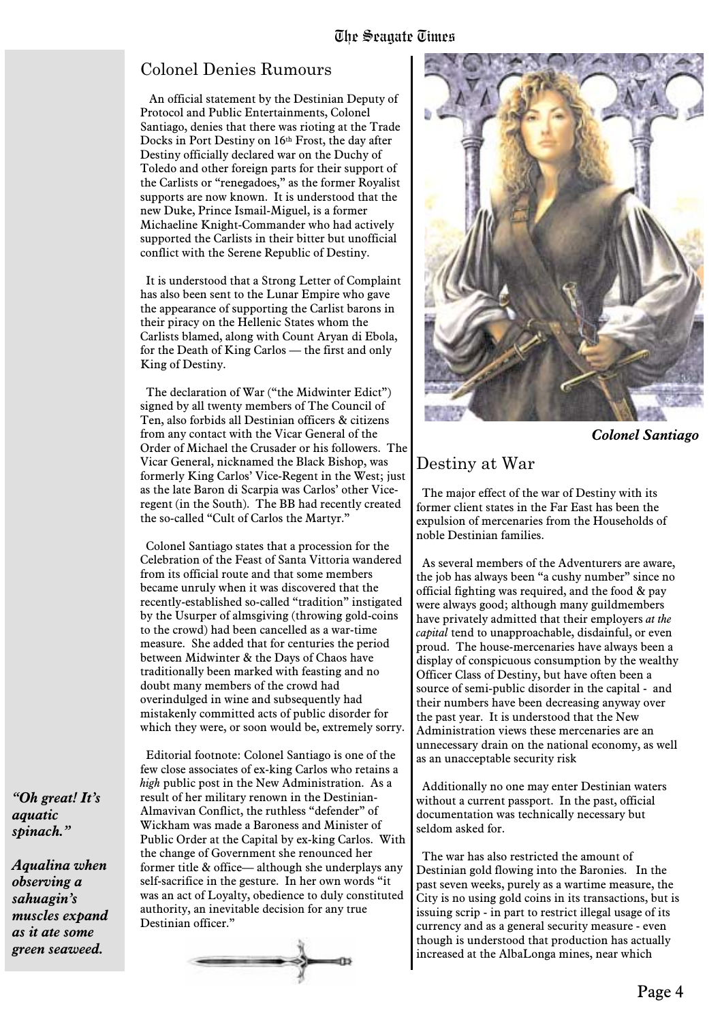### Colonel Denies Rumours

An official statement by the Destinian Deputy of Protocol and Public Entertainments, Colonel Santiago, denies that there was rioting at the Trade Docks in Port Destiny on 16th Frost, the day after Destiny officially declared war on the Duchy of Toledo and other foreign parts for their support of the Carlists or "renegadoes," as the former Royalist supports are now known. It is understood that the new Duke, Prince Ismail-Miguel, is a former Michaeline Knight-Commander who had actively supported the Carlists in their bitter but unofficial conflict with the Serene Republic of Destiny.

It is understood that a Strong Letter of Complaint has also been sent to the Lunar Empire who gave the appearance of supporting the Carlist barons in their piracy on the Hellenic States whom the Carlists blamed, along with Count Aryan di Ebola, for the Death of King Carlos — the first and only King of Destiny.

The declaration of War ("the Midwinter Edict") signed by all twenty members of The Council of Ten, also forbids all Destinian officers & citizens from any contact with the Vicar General of the Order of Michael the Crusader or his followers. The Vicar General, nicknamed the Black Bishop, was formerly King Carlos' Vice-Regent in the West; just as the late Baron di Scarpia was Carlos' other Viceregent (in the South). The BB had recently created the so-called "Cult of Carlos the Martyr."

Colonel Santiago states that a procession for the Celebration of the Feast of Santa Vittoria wandered from its official route and that some members became unruly when it was discovered that the recently-established so-called "tradition" instigated by the Usurper of almsgiving (throwing gold-coins to the crowd) had been cancelled as a war-time measure. She added that for centuries the period between Midwinter & the Days of Chaos have traditionally been marked with feasting and no doubt many members of the crowd had overindulged in wine and subsequently had mistakenly committed acts of public disorder for which they were, or soon would be, extremely sorry.

Editorial footnote: Colonel Santiago is one of the few close associates of ex-king Carlos who retains a *high* public post in the New Administration. As a result of her military renown in the Destinian-Almavivan Conflict, the ruthless "defender" of Wickham was made a Baroness and Minister of Public Order at the Capital by ex-king Carlos. With the change of Government she renounced her former title & office— although she underplays any self-sacrifice in the gesture. In her own words "it was an act of Loyalty, obedience to duly constituted authority, an inevitable decision for any true Destinian officer."





*Colonel Santiago*

### Destiny at War

The major effect of the war of Destiny with its former client states in the Far East has been the expulsion of mercenaries from the Households of noble Destinian families.

As several members of the Adventurers are aware, the job has always been "a cushy number" since no official fighting was required, and the food & pay were always good; although many guildmembers have privately admitted that their employers *at the capital* tend to unapproachable, disdainful, or even proud. The house-mercenaries have always been a display of conspicuous consumption by the wealthy Officer Class of Destiny, but have often been a source of semi-public disorder in the capital - and their numbers have been decreasing anyway over the past year. It is understood that the New Administration views these mercenaries are an unnecessary drain on the national economy, as well as an unacceptable security risk

Additionally no one may enter Destinian waters without a current passport. In the past, official documentation was technically necessary but seldom asked for.

The war has also restricted the amount of Destinian gold flowing into the Baronies. In the past seven weeks, purely as a wartime measure, the City is no using gold coins in its transactions, but is issuing scrip - in part to restrict illegal usage of its currency and as a general security measure - even though is understood that production has actually increased at the AlbaLonga mines, near which

*"Oh great! It's aquatic spinach."*

*Aqualina when observing a sahuagin's muscles expand as it ate some green seaweed.*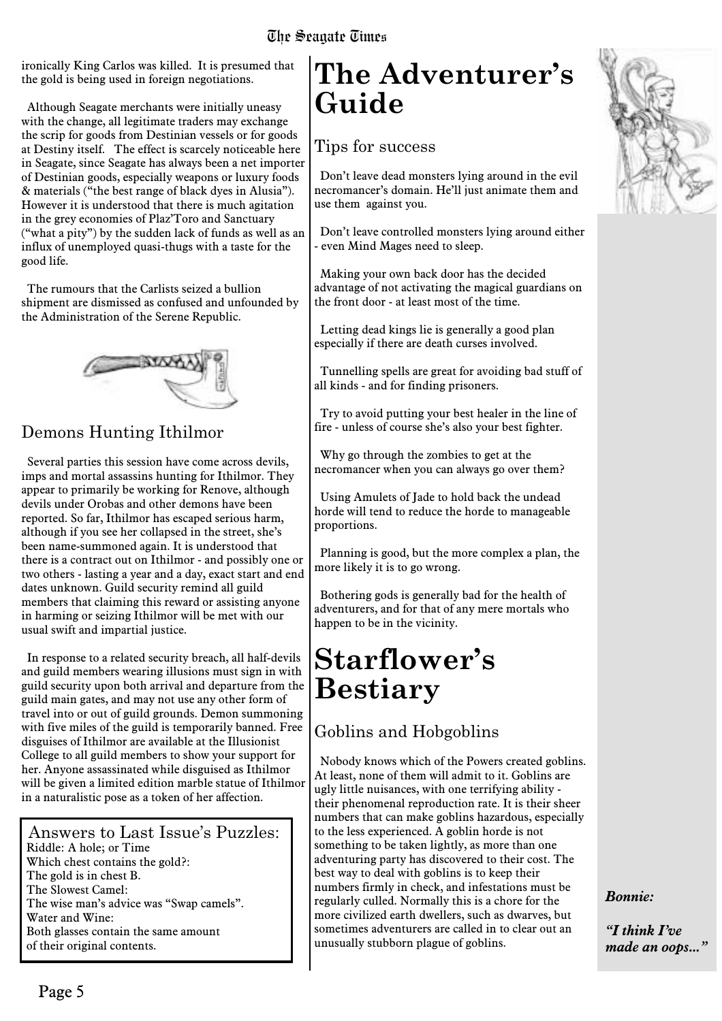ironically King Carlos was killed. It is presumed that the gold is being used in foreign negotiations.

Although Seagate merchants were initially uneasy with the change, all legitimate traders may exchange the scrip for goods from Destinian vessels or for goods at Destiny itself. The effect is scarcely noticeable here in Seagate, since Seagate has always been a net importer of Destinian goods, especially weapons or luxury foods & materials ("the best range of black dyes in Alusia"). However it is understood that there is much agitation in the grey economies of Plaz'Toro and Sanctuary ("what a pity") by the sudden lack of funds as well as an influx of unemployed quasi-thugs with a taste for the good life.

The rumours that the Carlists seized a bullion shipment are dismissed as confused and unfounded by the Administration of the Serene Republic.



### Demons Hunting Ithilmor

Several parties this session have come across devils, imps and mortal assassins hunting for Ithilmor. They appear to primarily be working for Renove, although devils under Orobas and other demons have been reported. So far, Ithilmor has escaped serious harm, although if you see her collapsed in the street, she's been name-summoned again. It is understood that there is a contract out on Ithilmor - and possibly one or two others - lasting a year and a day, exact start and end dates unknown. Guild security remind all guild members that claiming this reward or assisting anyone in harming or seizing Ithilmor will be met with our usual swift and impartial justice.

In response to a related security breach, all half-devils and guild members wearing illusions must sign in with guild security upon both arrival and departure from the guild main gates, and may not use any other form of travel into or out of guild grounds. Demon summoning with five miles of the guild is temporarily banned. Free disguises of Ithilmor are available at the Illusionist College to all guild members to show your support for her. Anyone assassinated while disguised as Ithilmor will be given a limited edition marble statue of Ithilmor in a naturalistic pose as a token of her affection.

Answers to Last Issue's Puzzles: Riddle: A hole; or Time Which chest contains the gold?: The gold is in chest B. The Slowest Camel: The wise man's advice was "Swap camels". Water and Wine: Both glasses contain the same amount of their original contents.

### **The Adventurer's Guide**

### Tips for success

Don't leave dead monsters lying around in the evil necromancer's domain. He'll just animate them and use them against you.

Don't leave controlled monsters lying around either - even Mind Mages need to sleep.

Making your own back door has the decided advantage of not activating the magical guardians on the front door - at least most of the time.

Letting dead kings lie is generally a good plan especially if there are death curses involved.

Tunnelling spells are great for avoiding bad stuff of all kinds - and for finding prisoners.

Try to avoid putting your best healer in the line of fire - unless of course she's also your best fighter.

Why go through the zombies to get at the necromancer when you can always go over them?

Using Amulets of Jade to hold back the undead horde will tend to reduce the horde to manageable proportions.

Planning is good, but the more complex a plan, the more likely it is to go wrong.

Bothering gods is generally bad for the health of adventurers, and for that of any mere mortals who happen to be in the vicinity.

### **Starflower's Bestiary**

### Goblins and Hobgoblins

Nobody knows which of the Powers created goblins. At least, none of them will admit to it. Goblins are ugly little nuisances, with one terrifying ability their phenomenal reproduction rate. It is their sheer numbers that can make goblins hazardous, especially to the less experienced. A goblin horde is not something to be taken lightly, as more than one adventuring party has discovered to their cost. The best way to deal with goblins is to keep their numbers firmly in check, and infestations must be regularly culled. Normally this is a chore for the more civilized earth dwellers, such as dwarves, but sometimes adventurers are called in to clear out an unusually stubborn plague of goblins.



*"I think I've made an oops..."*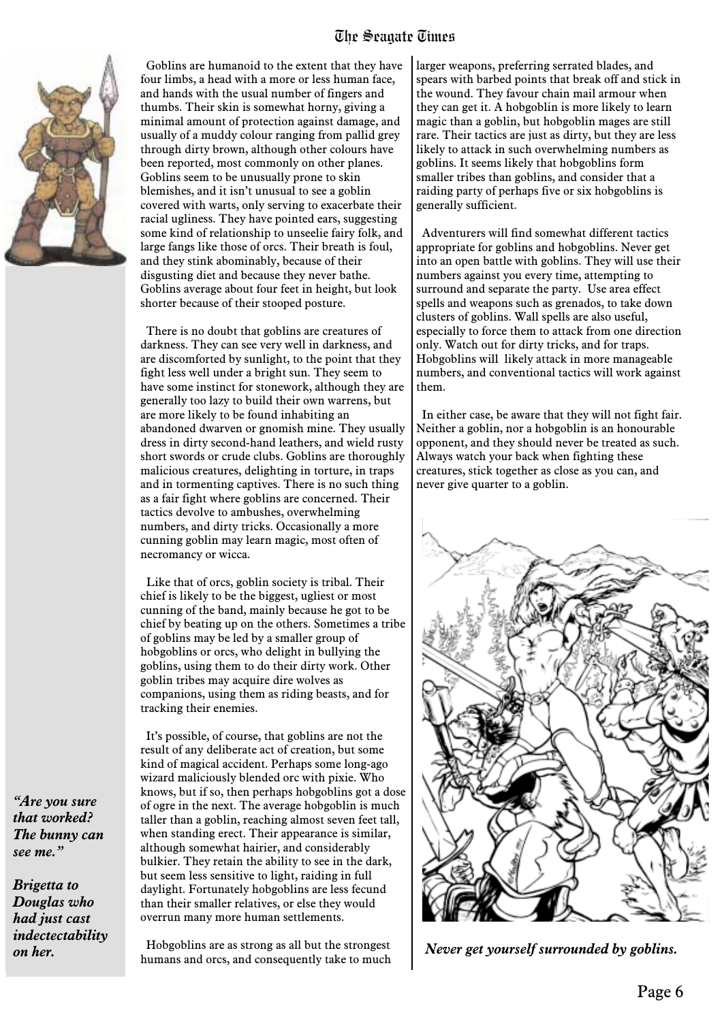

Goblins are humanoid to the extent that they have four limbs, a head with a more or less human face, and hands with the usual number of fingers and thumbs. Their skin is somewhat horny, giving a minimal amount of protection against damage, and usually of a muddy colour ranging from pallid grey through dirty brown, although other colours have been reported, most commonly on other planes. Goblins seem to be unusually prone to skin blemishes, and it isn't unusual to see a goblin covered with warts, only serving to exacerbate their racial ugliness. They have pointed ears, suggesting some kind of relationship to unseelie fairy folk, and large fangs like those of orcs. Their breath is foul, and they stink abominably, because of their disgusting diet and because they never bathe. Goblins average about four feet in height, but look shorter because of their stooped posture.

There is no doubt that goblins are creatures of darkness. They can see very well in darkness, and are discomforted by sunlight, to the point that they fight less well under a bright sun. They seem to have some instinct for stonework, although they are generally too lazy to build their own warrens, but are more likely to be found inhabiting an abandoned dwarven or gnomish mine. They usually dress in dirty second-hand leathers, and wield rusty short swords or crude clubs. Goblins are thoroughly malicious creatures, delighting in torture, in traps and in tormenting captives. There is no such thing as a fair fight where goblins are concerned. Their tactics devolve to ambushes, overwhelming numbers, and dirty tricks. Occasionally a more cunning goblin may learn magic, most often of necromancy or wicca.

Like that of orcs, goblin society is tribal. Their chief is likely to be the biggest, ugliest or most cunning of the band, mainly because he got to be chief by beating up on the others. Sometimes a tribe of goblins may be led by a smaller group of hobgoblins or orcs, who delight in bullying the goblins, using them to do their dirty work. Other goblin tribes may acquire dire wolves as companions, using them as riding beasts, and for tracking their enemies.

It's possible, of course, that goblins are not the result of any deliberate act of creation, but some kind of magical accident. Perhaps some long-ago wizard maliciously blended orc with pixie. Who knows, but if so, then perhaps hobgoblins got a dose of ogre in the next. The average hobgoblin is much taller than a goblin, reaching almost seven feet tall, when standing erect. Their appearance is similar, although somewhat hairier, and considerably bulkier. They retain the ability to see in the dark, but seem less sensitive to light, raiding in full daylight. Fortunately hobgoblins are less fecund than their smaller relatives, or else they would overrun many more human settlements.

Hobgoblins are as strong as all but the strongest humans and orcs, and consequently take to much larger weapons, preferring serrated blades, and spears with barbed points that break off and stick in the wound. They favour chain mail armour when they can get it. A hobgoblin is more likely to learn magic than a goblin, but hobgoblin mages are still rare. Their tactics are just as dirty, but they are less likely to attack in such overwhelming numbers as goblins. It seems likely that hobgoblins form smaller tribes than goblins, and consider that a raiding party of perhaps five or six hobgoblins is generally sufficient.

Adventurers will find somewhat different tactics appropriate for goblins and hobgoblins. Never get into an open battle with goblins. They will use their numbers against you every time, attempting to surround and separate the party. Use area effect spells and weapons such as grenados, to take down clusters of goblins. Wall spells are also useful, especially to force them to attack from one direction only. Watch out for dirty tricks, and for traps. Hobgoblins will likely attack in more manageable numbers, and conventional tactics will work against them.

In either case, be aware that they will not fight fair. Neither a goblin, nor a hobgoblin is an honourable opponent, and they should never be treated as such. Always watch your back when fighting these creatures, stick together as close as you can, and never give quarter to a goblin.



*Never get yourself surrounded by goblins.*

*"Are you sure that worked? The bunny can see me."*

*Brigetta to Douglas who had just cast indectectability on her.*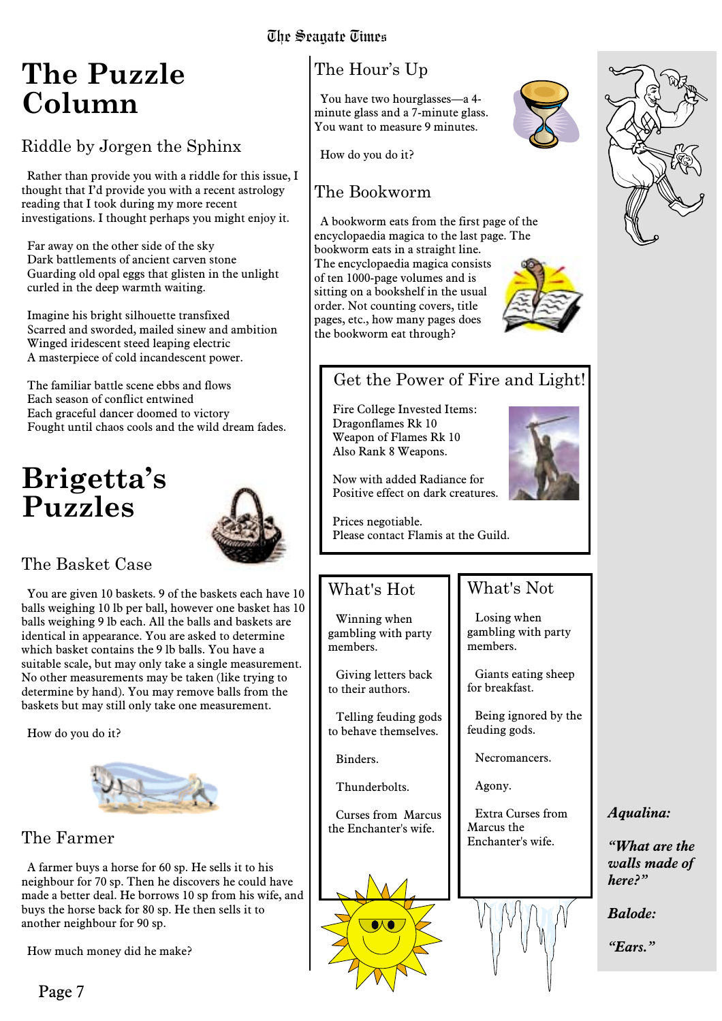### **The Puzzle Column**

### Riddle by Jorgen the Sphinx

Rather than provide you with a riddle for this issue, I thought that I'd provide you with a recent astrology reading that I took during my more recent investigations. I thought perhaps you might enjoy it.

Far away on the other side of the sky Dark battlements of ancient carven stone Guarding old opal eggs that glisten in the unlight curled in the deep warmth waiting.

Imagine his bright silhouette transfixed Scarred and sworded, mailed sinew and ambition Winged iridescent steed leaping electric A masterpiece of cold incandescent power.

The familiar battle scene ebbs and flows Each season of conflict entwined Each graceful dancer doomed to victory Fought until chaos cools and the wild dream fades.

### **Brigetta's Puzzles**



### The Basket Case

You are given 10 baskets. 9 of the baskets each have 10 balls weighing 10 lb per ball, however one basket has 10 balls weighing 9 lb each. All the balls and baskets are identical in appearance. You are asked to determine which basket contains the 9 lb balls. You have a suitable scale, but may only take a single measurement. No other measurements may be taken (like trying to determine by hand). You may remove balls from the baskets but may still only take one measurement.

How do you do it?



### The Farmer

A farmer buys a horse for 60 sp. He sells it to his neighbour for 70 sp. Then he discovers he could have made a better deal. He borrows 10 sp from his wife, and buys the horse back for 80 sp. He then sells it to another neighbour for 90 sp.

How much money did he make?

### The Hour's Up

You have two hourglasses—a 4 minute glass and a 7-minute glass. You want to measure 9 minutes.

How do you do it?

### The Bookworm

A bookworm eats from the first page of the encyclopaedia magica to the last page. The bookworm eats in a straight line. The encyclopaedia magica consists of ten 1000-page volumes and is sitting on a bookshelf in the usual order. Not counting covers, title pages, etc., how many pages does the bookworm eat through?



### Get the Power of Fire and Light!

Fire College Invested Items: Dragonflames Rk 10 Weapon of Flames Rk 10 Also Rank 8 Weapons.



Prices negotiable. Please contact Flamis at the Guild.

### What's Hot

Winning when gambling with party members.

Giving letters back to their authors.

Telling feuding gods to behave themselves.

Binders.

Thunderbolts.

Curses from Marcus the Enchanter's wife.





feuding gods. Necromancers.

Agony.

What's Not

Losing when gambling with party

Giants eating sheep

Being ignored by the

members.

for breakfast.

Extra Curses from Marcus the Enchanter's wife.



### *Aqualina:*

*"What are the walls made of here?"*

*Balode:*

*"Ears."*